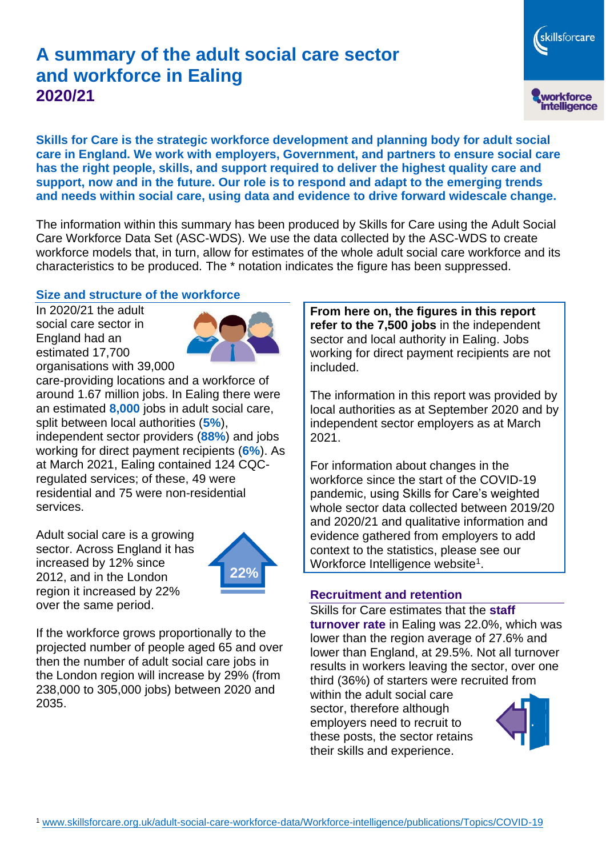# **A summary of the adult social care sector and workforce in Ealing 2020/21**

skillsforcare workforce<br>intelligence

**Skills for Care is the strategic workforce development and planning body for adult social care in England. We work with employers, Government, and partners to ensure social care has the right people, skills, and support required to deliver the highest quality care and support, now and in the future. Our role is to respond and adapt to the emerging trends and needs within social care, using data and evidence to drive forward widescale change.**

The information within this summary has been produced by Skills for Care using the Adult Social Care Workforce Data Set (ASC-WDS). We use the data collected by the ASC-WDS to create workforce models that, in turn, allow for estimates of the whole adult social care workforce and its characteristics to be produced. The \* notation indicates the figure has been suppressed.

#### **Size and structure of the workforce**

In 2020/21 the adult social care sector in England had an estimated 17,700 organisations with 39,000



care-providing locations and a workforce of around 1.67 million jobs. In Ealing there were an estimated **8,000** jobs in adult social care, split between local authorities (**5%**), independent sector providers (**88%**) and jobs working for direct payment recipients (**6%**). As at March 2021, Ealing contained 124 CQCregulated services; of these, 49 were residential and 75 were non-residential services.

Adult social care is a growing sector. Across England it has increased by 12% since 2012, and in the London region it increased by 22% over the same period.



If the workforce grows proportionally to the projected number of people aged 65 and over then the number of adult social care jobs in the London region will increase by 29% (from 238,000 to 305,000 jobs) between 2020 and 2035.

**From here on, the figures in this report refer to the 7,500 jobs** in the independent sector and local authority in Ealing. Jobs working for direct payment recipients are not included.

The information in this report was provided by local authorities as at September 2020 and by independent sector employers as at March 2021.

For information about changes in the workforce since the start of the COVID-19 pandemic, using Skills for Care's weighted whole sector data collected between 2019/20 and 2020/21 and qualitative information and evidence gathered from employers to add context to the statistics, please see our Workforce Intelligence website<sup>1</sup>.

#### **Recruitment and retention**

Skills for Care estimates that the **staff turnover rate** in Ealing was 22.0%, which was lower than the region average of 27.6% and lower than England, at 29.5%. Not all turnover results in workers leaving the sector, over one third (36%) of starters were recruited from

within the adult social care sector, therefore although employers need to recruit to these posts, the sector retains their skills and experience.

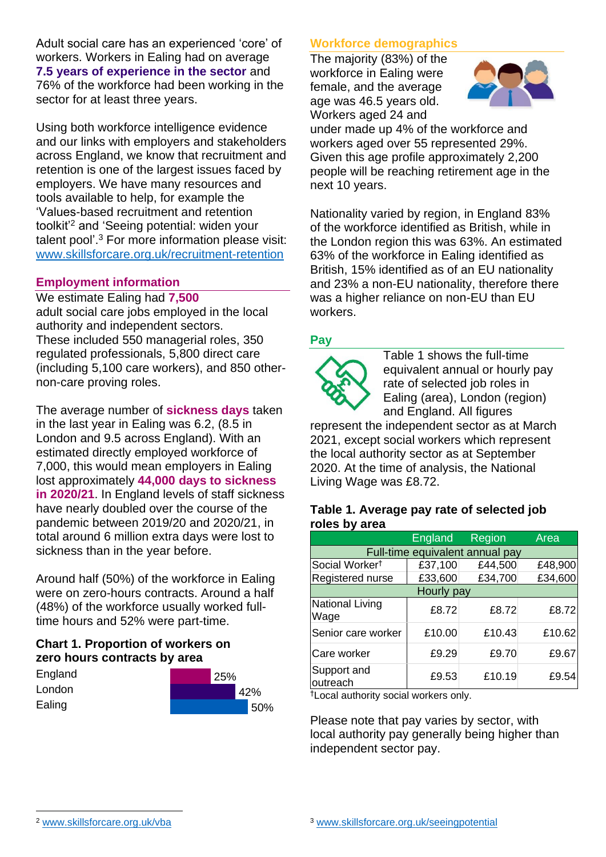Adult social care has an experienced 'core' of workers. Workers in Ealing had on average **7.5 years of experience in the sector** and 76% of the workforce had been working in the sector for at least three years.

Using both workforce intelligence evidence and our links with employers and stakeholders across England, we know that recruitment and retention is one of the largest issues faced by employers. We have many resources and tools available to help, for example the 'Values-based recruitment and retention toolkit'<sup>2</sup> and 'Seeing potential: widen your talent pool'. <sup>3</sup> For more information please visit: [www.skillsforcare.org.uk/recruitment-retention](http://www.skillsforcare.org.uk/recruitment-retention)

#### **Employment information**

We estimate Ealing had **7,500** adult social care jobs employed in the local authority and independent sectors. These included 550 managerial roles, 350 regulated professionals, 5,800 direct care (including 5,100 care workers), and 850 othernon-care proving roles.

The average number of **sickness days** taken in the last year in Ealing was 6.2, (8.5 in London and 9.5 across England). With an estimated directly employed workforce of 7,000, this would mean employers in Ealing lost approximately **44,000 days to sickness in 2020/21**. In England levels of staff sickness have nearly doubled over the course of the pandemic between 2019/20 and 2020/21, in total around 6 million extra days were lost to sickness than in the year before.

Around half (50%) of the workforce in Ealing were on zero-hours contracts. Around a half (48%) of the workforce usually worked fulltime hours and 52% were part-time.

### **Chart 1. Proportion of workers on zero hours contracts by area**

| England |
|---------|
| London  |
| Ealing  |



### **Workforce demographics**

The majority (83%) of the workforce in Ealing were female, and the average age was 46.5 years old. Workers aged 24 and



under made up 4% of the workforce and workers aged over 55 represented 29%. Given this age profile approximately 2,200 people will be reaching retirement age in the next 10 years.

Nationality varied by region, in England 83% of the workforce identified as British, while in the London region this was 63%. An estimated 63% of the workforce in Ealing identified as British, 15% identified as of an EU nationality and 23% a non-EU nationality, therefore there was a higher reliance on non-EU than EU workers.

### **Pay**



Table 1 shows the full-time equivalent annual or hourly pay rate of selected job roles in Ealing (area), London (region) and England. All figures

represent the independent sector as at March 2021, except social workers which represent the local authority sector as at September 2020. At the time of analysis, the National Living Wage was £8.72.

#### **Table 1. Average pay rate of selected job roles by area**

|                                 | <b>England</b> | Region  | Area    |  |
|---------------------------------|----------------|---------|---------|--|
| Full-time equivalent annual pay |                |         |         |  |
| Social Worker <sup>t</sup>      | £37,100        | £44,500 | £48,900 |  |
| Registered nurse                | £33,600        | £34,700 | £34,600 |  |
| Hourly pay                      |                |         |         |  |
| National Living<br>Wage         | £8.72          | £8.72   | £8.72   |  |
| Senior care worker              | £10.00         | £10.43  | £10.62  |  |
| Care worker                     | £9.29          | £9.70   | £9.67   |  |
| Support and<br>outreach         | £9.53          | £10.19  | £9.54   |  |

†Local authority social workers only.

Please note that pay varies by sector, with local authority pay generally being higher than independent sector pay.